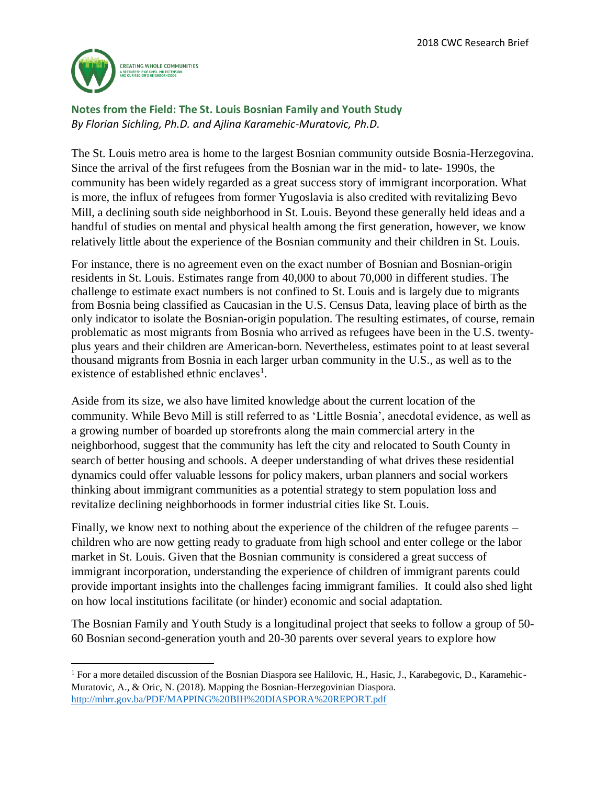

 $\overline{\phantom{0}}$ 

**Notes from the Field: The St. Louis Bosnian Family and Youth Study** *By Florian Sichling, Ph.D. and Ajlina Karamehic-Muratovic, Ph.D.*

The St. Louis metro area is home to the largest Bosnian community outside Bosnia-Herzegovina. Since the arrival of the first refugees from the Bosnian war in the mid- to late- 1990s, the community has been widely regarded as a great success story of immigrant incorporation. What is more, the influx of refugees from former Yugoslavia is also credited with revitalizing Bevo Mill, a declining south side neighborhood in St. Louis. Beyond these generally held ideas and a handful of studies on mental and physical health among the first generation, however, we know relatively little about the experience of the Bosnian community and their children in St. Louis.

For instance, there is no agreement even on the exact number of Bosnian and Bosnian-origin residents in St. Louis. Estimates range from 40,000 to about 70,000 in different studies. The challenge to estimate exact numbers is not confined to St. Louis and is largely due to migrants from Bosnia being classified as Caucasian in the U.S. Census Data, leaving place of birth as the only indicator to isolate the Bosnian-origin population. The resulting estimates, of course, remain problematic as most migrants from Bosnia who arrived as refugees have been in the U.S. twentyplus years and their children are American-born. Nevertheless, estimates point to at least several thousand migrants from Bosnia in each larger urban community in the U.S., as well as to the existence of established ethnic enclaves<sup>1</sup>.

Aside from its size, we also have limited knowledge about the current location of the community. While Bevo Mill is still referred to as 'Little Bosnia', anecdotal evidence, as well as a growing number of boarded up storefronts along the main commercial artery in the neighborhood, suggest that the community has left the city and relocated to South County in search of better housing and schools. A deeper understanding of what drives these residential dynamics could offer valuable lessons for policy makers, urban planners and social workers thinking about immigrant communities as a potential strategy to stem population loss and revitalize declining neighborhoods in former industrial cities like St. Louis.

Finally, we know next to nothing about the experience of the children of the refugee parents – children who are now getting ready to graduate from high school and enter college or the labor market in St. Louis. Given that the Bosnian community is considered a great success of immigrant incorporation, understanding the experience of children of immigrant parents could provide important insights into the challenges facing immigrant families. It could also shed light on how local institutions facilitate (or hinder) economic and social adaptation.

The Bosnian Family and Youth Study is a longitudinal project that seeks to follow a group of 50- 60 Bosnian second-generation youth and 20-30 parents over several years to explore how

<sup>&</sup>lt;sup>1</sup> For a more detailed discussion of the Bosnian Diaspora see Halilovic, H., Hasic, J., Karabegovic, D., Karamehic-Muratovic, A., & Oric, N. (2018). Mapping the Bosnian-Herzegovinian Diaspora. <http://mhrr.gov.ba/PDF/MAPPING%20BIH%20DIASPORA%20REPORT.pdf>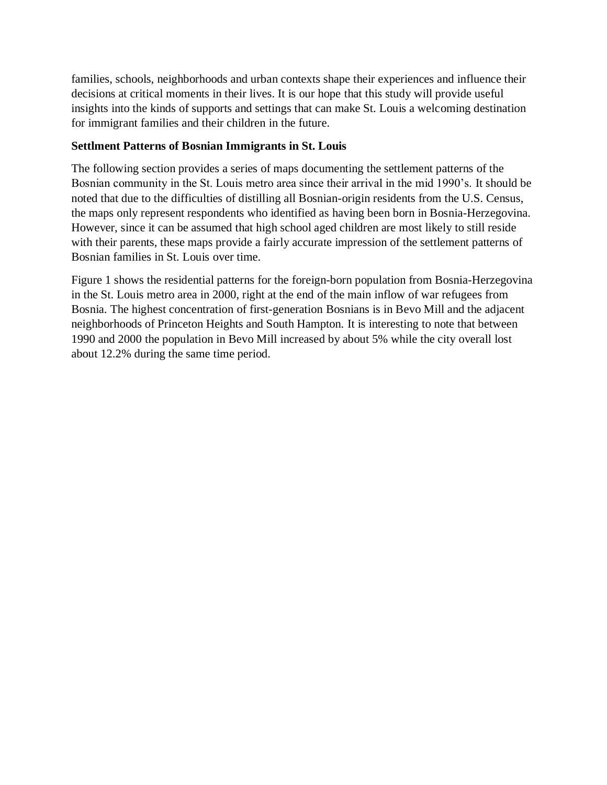families, schools, neighborhoods and urban contexts shape their experiences and influence their decisions at critical moments in their lives. It is our hope that this study will provide useful insights into the kinds of supports and settings that can make St. Louis a welcoming destination for immigrant families and their children in the future.

## **Settlment Patterns of Bosnian Immigrants in St. Louis**

The following section provides a series of maps documenting the settlement patterns of the Bosnian community in the St. Louis metro area since their arrival in the mid 1990's. It should be noted that due to the difficulties of distilling all Bosnian-origin residents from the U.S. Census, the maps only represent respondents who identified as having been born in Bosnia-Herzegovina. However, since it can be assumed that high school aged children are most likely to still reside with their parents, these maps provide a fairly accurate impression of the settlement patterns of Bosnian families in St. Louis over time.

Figure 1 shows the residential patterns for the foreign-born population from Bosnia-Herzegovina in the St. Louis metro area in 2000, right at the end of the main inflow of war refugees from Bosnia. The highest concentration of first-generation Bosnians is in Bevo Mill and the adjacent neighborhoods of Princeton Heights and South Hampton. It is interesting to note that between 1990 and 2000 the population in Bevo Mill increased by about 5% while the city overall lost about 12.2% during the same time period.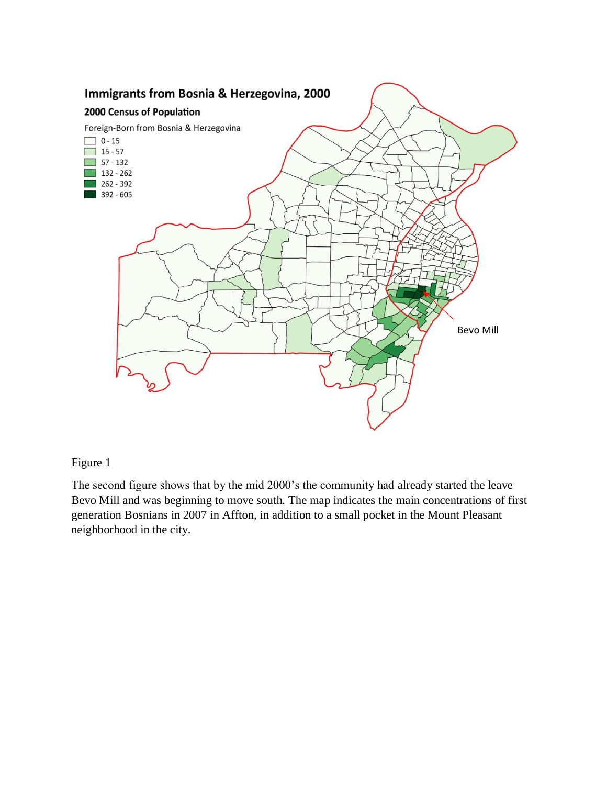

The second figure shows that by the mid 2000's the community had already started the leave Bevo Mill and was beginning to move south. The map indicates the main concentrations of first generation Bosnians in 2007 in Affton, in addition to a small pocket in the Mount Pleasant neighborhood in the city.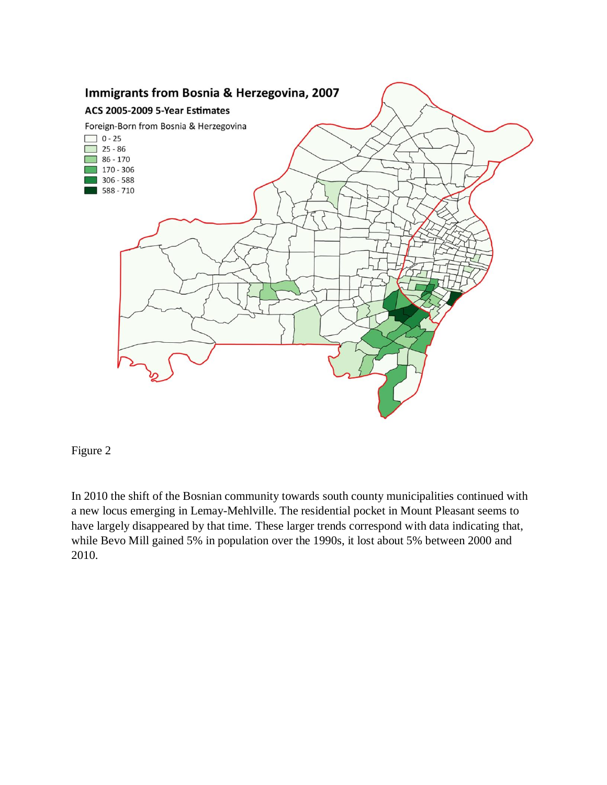

In 2010 the shift of the Bosnian community towards south county municipalities continued with a new locus emerging in Lemay-Mehlville. The residential pocket in Mount Pleasant seems to have largely disappeared by that time. These larger trends correspond with data indicating that, while Bevo Mill gained 5% in population over the 1990s, it lost about 5% between 2000 and 2010.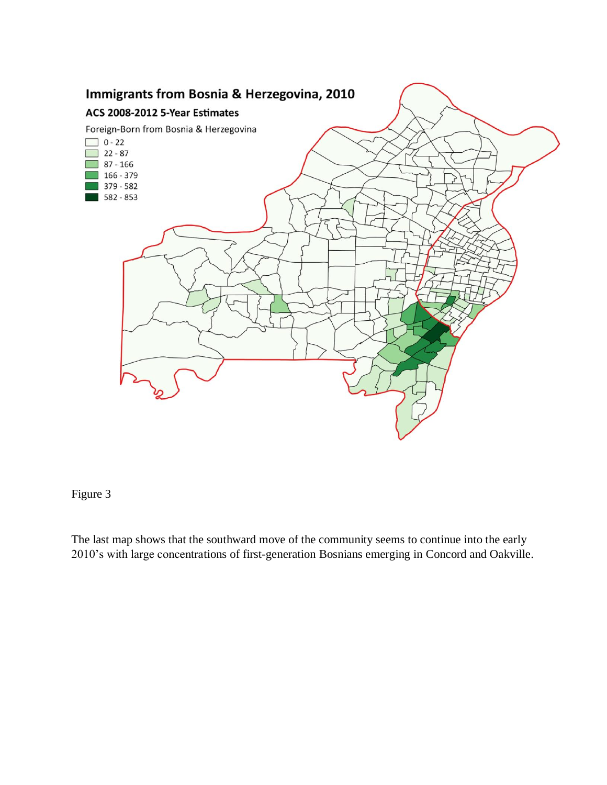

The last map shows that the southward move of the community seems to continue into the early 2010's with large concentrations of first-generation Bosnians emerging in Concord and Oakville.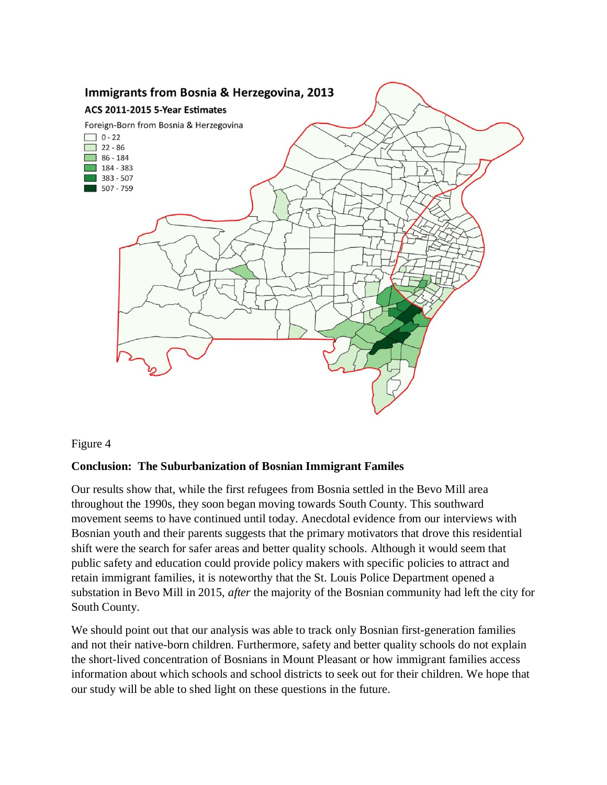

### **Conclusion: The Suburbanization of Bosnian Immigrant Familes**

Our results show that, while the first refugees from Bosnia settled in the Bevo Mill area throughout the 1990s, they soon began moving towards South County. This southward movement seems to have continued until today. Anecdotal evidence from our interviews with Bosnian youth and their parents suggests that the primary motivators that drove this residential shift were the search for safer areas and better quality schools. Although it would seem that public safety and education could provide policy makers with specific policies to attract and retain immigrant families, it is noteworthy that the St. Louis Police Department opened a substation in Bevo Mill in 2015, *after* the majority of the Bosnian community had left the city for South County.

We should point out that our analysis was able to track only Bosnian first-generation families and not their native-born children. Furthermore, safety and better quality schools do not explain the short-lived concentration of Bosnians in Mount Pleasant or how immigrant families access information about which schools and school districts to seek out for their children. We hope that our study will be able to shed light on these questions in the future.